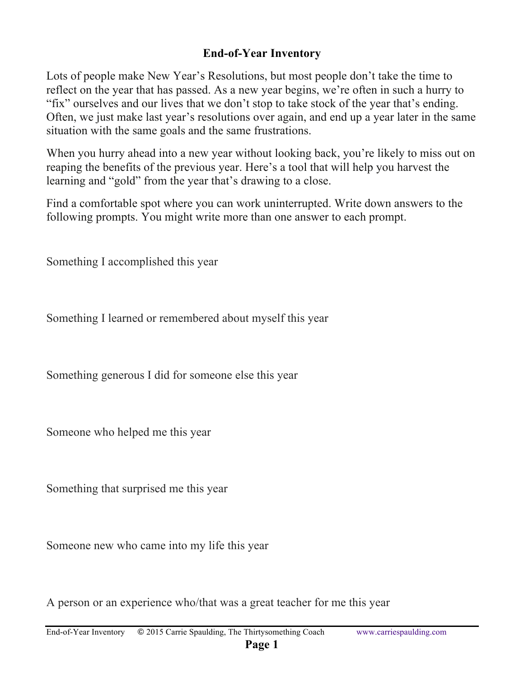## **End-of-Year Inventory**

Lots of people make New Year's Resolutions, but most people don't take the time to reflect on the year that has passed. As a new year begins, we're often in such a hurry to "fix" ourselves and our lives that we don't stop to take stock of the year that's ending. Often, we just make last year's resolutions over again, and end up a year later in the same situation with the same goals and the same frustrations.

When you hurry ahead into a new year without looking back, you're likely to miss out on reaping the benefits of the previous year. Here's a tool that will help you harvest the learning and "gold" from the year that's drawing to a close.

Find a comfortable spot where you can work uninterrupted. Write down answers to the following prompts. You might write more than one answer to each prompt.

Something I accomplished this year

Something I learned or remembered about myself this year

Something generous I did for someone else this year

Someone who helped me this year

Something that surprised me this year

Someone new who came into my life this year

A person or an experience who/that was a great teacher for me this year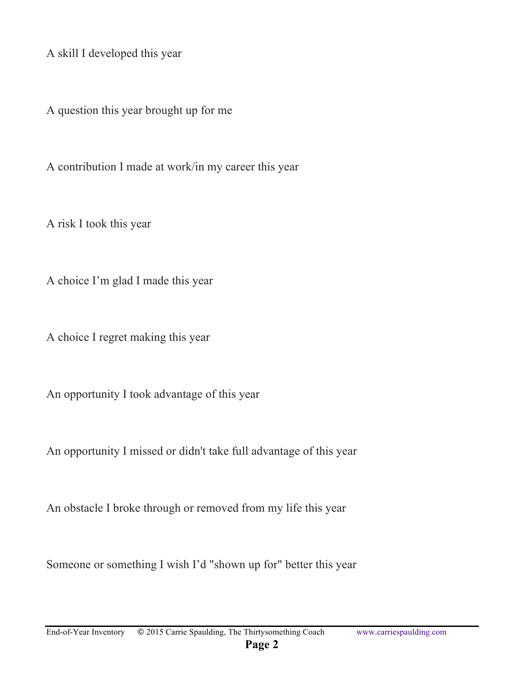A skill I developed this year

A question this year brought up for me

A contribution I made at work/in my career this year

A risk I took this year

A choice I'm glad I made this year

A choice I regret making this year

An opportunity I took advantage of this year

An opportunity I missed or didn't take full advantage of this year

An obstacle I broke through or removed from my life this year

Someone or something I wish I'd "shown up for" better this year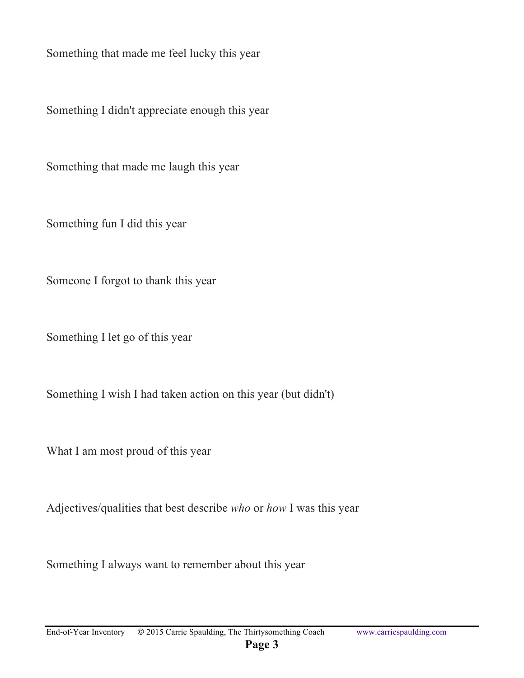Something that made me feel lucky this year

Something I didn't appreciate enough this year

Something that made me laugh this year

Something fun I did this year

Someone I forgot to thank this year

Something I let go of this year

Something I wish I had taken action on this year (but didn't)

What I am most proud of this year

Adjectives/qualities that best describe *who* or *how* I was this year

Something I always want to remember about this year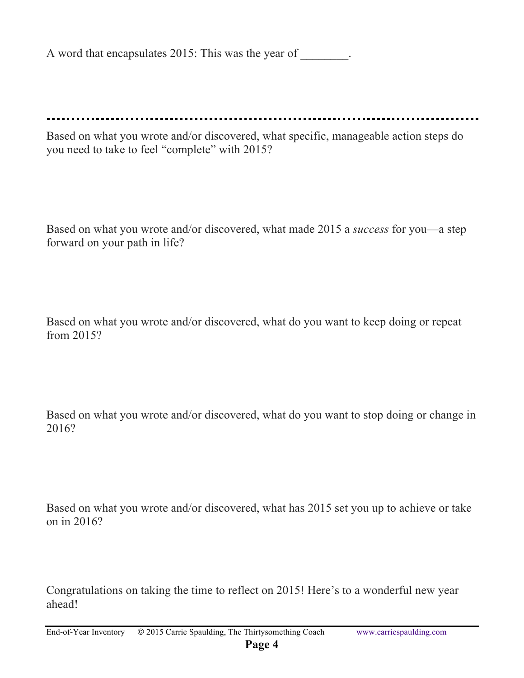A word that encapsulates 2015: This was the year of  $\qquad \qquad$ .

Based on what you wrote and/or discovered, what specific, manageable action steps do you need to take to feel "complete" with 2015?

Based on what you wrote and/or discovered, what made 2015 a *success* for you—a step forward on your path in life?

Based on what you wrote and/or discovered, what do you want to keep doing or repeat from 2015?

Based on what you wrote and/or discovered, what do you want to stop doing or change in 2016?

Based on what you wrote and/or discovered, what has 2015 set you up to achieve or take on in 2016?

Congratulations on taking the time to reflect on 2015! Here's to a wonderful new year ahead!